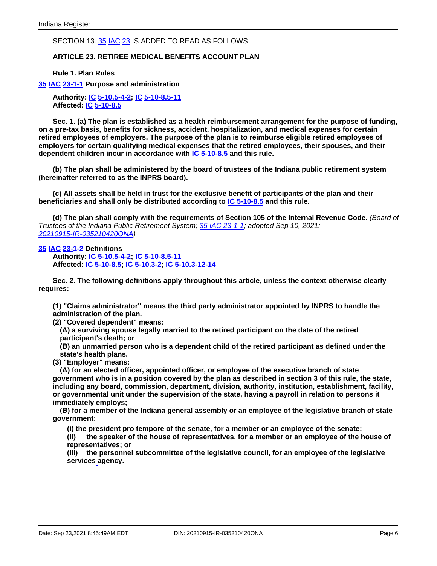### SECTION 13. [35 IAC 23](http://www.in.gov/legislative/iac/iac_title?iact=35&iaca=23) IS ADDED TO READ AS FOLLOWS:

# **ARTICLE 23. RETIREE MEDICAL BENEFITS ACCOUNT PLAN**

**Rule 1. Plan Rules**

#### **[35 IAC 23-1-1](http://www.in.gov/legislative/iac/iac_title?iact=35&iaca=23) Purpose and administration**

**Authority: [IC 5-10.5-4-2;](http://www.in.gov/legislative/iac/ic?t=5&a=10.5&c=4&s=2) IC [5-10-8.5-11](http://www.in.gov/legislative/iac/ic?t=5&a=10&c=8.5&s=11) Affected: [IC 5-10-8.5](http://www.in.gov/legislative/iac/ic?t=5&a=10&c=8.5)**

**Sec. 1. (a) The plan is established as a health reimbursement arrangement for the purpose of funding, on a pre-tax basis, benefits for sickness, accident, hospitalization, and medical expenses for certain retired employees of employers. The purpose of the plan is to reimburse eligible retired employees of employers for certain qualifying medical expenses that the retired employees, their spouses, and their dependent children incur in accordance with IC [5-10-8.5](http://www.in.gov/legislative/iac/ic?t=5&a=10&c=8.5) and this rule.**

**(b) The plan shall be administered by the board of trustees of the Indiana public retirement system (hereinafter referred to as the INPRS board).**

(c) All assets shall be held in trust for the exclusive benefit of participants of the plan and their **beneficiaries and shall only be distributed according to IC [5-10-8.5](http://www.in.gov/legislative/iac/ic?t=5&a=10&c=8.5) and this rule.**

**(d) The plan shall comply with the requirements of Section 105 of the Internal Revenue Code.** (Board of Trustees of the Indiana Public Retirement System; 35 IAC [23-1-1;](http://www.in.gov/legislative/iac/iac_title?iact=35&iaca=23) adopted Sep 10, 2021: [20210915-IR-035210420ONA\)](http://www.in.gov/legislative/iac/irdin.pdf?din=20210915-IR-035210420ONA)

### **[35 IAC 23-1-2](http://www.in.gov/legislative/iac/iac_title?iact=35&iaca=23) Definitions**

**Authority: IC [5-10.5-4-2;](http://www.in.gov/legislative/iac/ic?t=5&a=10.5&c=4&s=2) IC [5-10-8.5-11](http://www.in.gov/legislative/iac/ic?t=5&a=10&c=8.5&s=11) Affected: IC [5-10-8.5;](http://www.in.gov/legislative/iac/ic?t=5&a=10&c=8.5) IC [5-10.3-2;](http://www.in.gov/legislative/iac/ic?t=5&a=10.3&c=2) IC [5-10.3-12-14](http://www.in.gov/legislative/iac/ic?t=5&a=10.3&c=12&s=14)**

**Sec. 2. The following definitions apply throughout this article, unless the context otherwise clearly requires:**

**(1) "Claims administrator" means the third party administrator appointed by INPRS to handle the administration of the plan.**

**(2) "Covered dependent" means:**

**(A) a surviving spouse legally married to the retired participant on the date of the retired participant's death; or**

**(B) an unmarried person who is a dependent child of the retired participant as defined under the state's health plans.**

**(3) "Employer" means:**

**(A) for an elected officer, appointed officer, or employee of the executive branch of state** government who is in a position covered by the plan as described in section 3 of this rule, the state, **including any board, commission, department, division, authority, institution, establishment, facility, or governmental unit under the supervision of the state, having a payroll in relation to persons it immediately employs;**

**(B) for a member of the Indiana general assembly or an employee of the legislative branch of state government:**

**(i) the president pro tempore of the senate, for a member or an employee of the senate;**

**(ii) the speaker of the house of representatives, for a member or an employee of the house of representatives; or**

**(iii) the personnel subcommittee of the legislative council, for an employee of the legislative services agency.**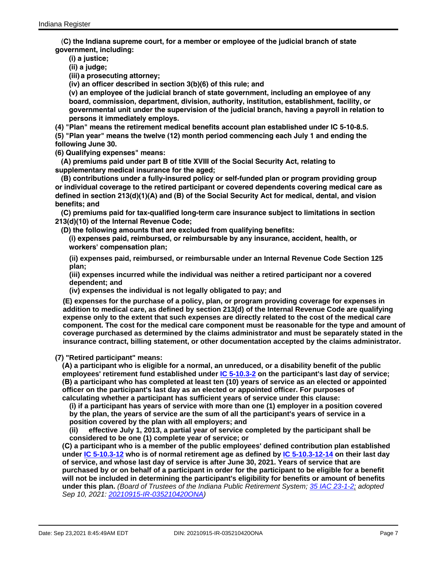(**C) the Indiana supreme court, for a member or employee of the judicial branch of state government, including:**

**(i) a justice;**

**(ii) a judge;**

**(iii) a prosecuting attorney;**

**(iv) an officer described in section 3(b)(6) of this rule; and**

**(v) an employee of the judicial branch of state government, including an employee of any board, commission, department, division, authority, institution, establishment, facility, or governmental unit under the supervision of the judicial branch, having a payroll in relation to persons it immediately employs.**

**(4) "Plan" means the retirement medical benefits account plan established under IC 5-10-8.5.**

**(5) "Plan year" means the twelve (12) month period commencing each July 1 and ending the following June 30.**

**(6) Qualifying expenses" means:**

**(A) premiums paid under part B of title XVIII of the Social Security Act, relating to supplementary medical insurance for the aged;**

**(B) contributions under a fully-insured policy or self-funded plan or program providing group or individual coverage to the retired participant or covered dependents covering medical care as defined in section 213(d)(1)(A) and (B) of the Social Security Act for medical, dental, and vision benefits; and**

**(C) premiums paid for tax-qualified long-term care insurance subject to limitations in section 213(d)(10) of the Internal Revenue Code;**

**(D) the following amounts that are excluded from qualifying benefits:**

**(i) expenses paid, reimbursed, or reimbursable by any insurance, accident, health, or workers' compensation plan;**

**(ii) expenses paid, reimbursed, or reimbursable under an Internal Revenue Code Section 125 plan;**

**(iii) expenses incurred while the individual was neither a retired participant nor a covered dependent; and**

**(iv) expenses the individual is not legally obligated to pay; and**

**(E) expenses for the purchase of a policy, plan, or program providing coverage for expenses in addition to medical care, as defined by section 213(d) of the Internal Revenue Code are qualifying expense only to the extent that such expenses are directly related to the cost of the medical care component. The cost for the medical care component must be reasonable for the type and amount of coverage purchased as determined by the claims administrator and must be separately stated in the insurance contract, billing statement, or other documentation accepted by the claims administrator.**

**(7) "Retired participant" means:**

(A) a participant who is eligible for a normal, an unreduced, or a disability benefit of the public **employees' retirement fund established under IC [5-10.3-2](http://www.in.gov/legislative/iac/ic?t=5&a=10.3&c=2) on the participant's last day of service; (B) a participant who has completed at least ten (10) years of service as an elected or appointed officer on the participant's last day as an elected or appointed officer. For purposes of calculating whether a participant has sufficient years of service under this clause:**

**(i) if a participant has years of service with more than one (1) employer in a position covered** by the plan, the years of service are the sum of all the participant's years of service in a **position covered by the plan with all employers; and**

**(ii) effective July 1, 2013, a partial year of service completed by the participant shall be considered to be one (1) complete year of service; or**

**(C) a participant who is a member of the public employees' defined contribution plan established under IC [5-10.3-12](http://www.in.gov/legislative/iac/ic?t=5&a=10.3&c=12) who is of normal retirement age as defined by IC [5-10.3-12-14](http://www.in.gov/legislative/iac/ic?t=5&a=10.3&c=12&s=14) on their last day of service, and whose last day of service is after June 30, 2021. Years of service that are** purchased by or on behalf of a participant in order for the participant to be eligible for a benefit **will not be included in determining the participant's eligibility for benefits or amount of benefits under this plan.** (Board of Trustees of the Indiana Public Retirement System; 35 IAC [23-1-2;](http://www.in.gov/legislative/iac/iac_title?iact=35&iaca=23) adopted Sep 10, 2021: [20210915-IR-035210420ONA\)](http://www.in.gov/legislative/iac/irdin.pdf?din=20210915-IR-035210420ONA)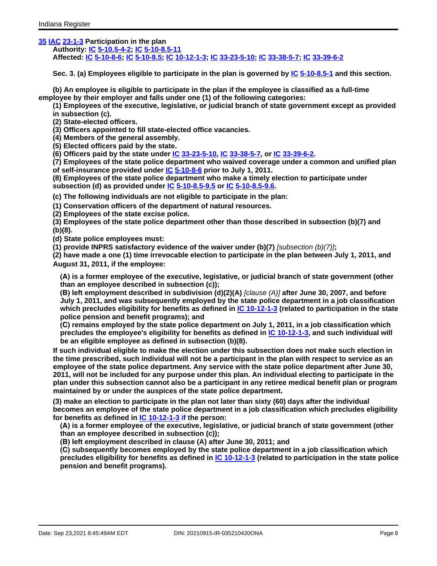# **[35 IAC 23-1-3](http://www.in.gov/legislative/iac/iac_title?iact=35&iaca=23) Participation in the plan**

**Authority: [IC 5-10.5-4-2;](http://www.in.gov/legislative/iac/ic?t=5&a=10.5&c=4&s=2) IC [5-10-8.5-11](http://www.in.gov/legislative/iac/ic?t=5&a=10&c=8.5&s=11) Affected: [IC 5-10-8-6;](http://www.in.gov/legislative/iac/ic?t=5&a=10&c=8&s=6) IC [5-10-8.5;](http://www.in.gov/legislative/iac/ic?t=5&a=10&c=8.5) IC [10-12-1-3;](http://www.in.gov/legislative/iac/ic?t=10&a=12&c=1&s=3) IC [33-23-5-10;](http://www.in.gov/legislative/iac/ic?t=33&a=23&c=5&s=10) [IC 33-38-5-7;](http://www.in.gov/legislative/iac/ic?t=33&a=38&c=5&s=7) [IC 33-39-6-2](http://www.in.gov/legislative/iac/ic?t=33&a=39&c=6&s=2)**

**Sec. 3. (a) Employees eligible to participate in the plan is governed by [IC 5-10-8.5-1](http://www.in.gov/legislative/iac/ic?t=5&a=10&c=8.5&s=1) and this section.**

**(b) An employee is eligible to participate in the plan if the employee is classified as a full-time employee by their employer and falls under one (1) of the following categories:**

**(1) Employees of the executive, legislative, or judicial branch of state government except as provided in subsection (c).**

**(2) State-elected officers.**

**(3) Officers appointed to fill state-elected office vacancies.**

**(4) Members of the general assembly.**

**(5) Elected officers paid by the state.**

**(6) Officers paid by the state under [IC 33-23-5-10,](http://www.in.gov/legislative/iac/iac_title?iact=35&iaca=23) [IC 33-38-5-7,](http://www.in.gov/legislative/iac/ic?t=33&a=38&c=5&s=7) or [IC 33-39-6-2.](http://www.in.gov/legislative/iac/ic?t=33&a=39&c=6&s=2)**

**(7) Employees of the state police department who waived coverage under a common and unified plan of self-insurance provided under [IC 5-10-8-6](http://www.in.gov/legislative/iac/ic?t=5&a=10&c=8&s=6) prior to July 1, 2011.**

**(8) Employees of the state police department who make a timely election to participate under subsection (d) as provided under [IC 5-10-8.5-9.5](http://www.in.gov/legislative/iac/ic?t=5&a=10&c=8.5&s=9.5) or [IC 5-10-8.5-9.6.](http://www.in.gov/legislative/iac/ic?t=5&a=10&c=8.5&s=9.6)**

**(c) The following individuals are not eligible to participate in the plan:**

**(1) Conservation officers of the department of natural resources.**

**(2) Employees of the state excise police.**

**(3) Employees of the state police department other than those described in subsection (b)(7) and (b)(8).**

**(d) State police employees must:**

**(1) provide INPRS satisfactory evidence of the waiver under (b)(7)** [subsection (b)(7)]**;**

**(2) have made a one (1) time irrevocable election to participate in the plan between July 1, 2011, and August 31, 2011, if the employee:**

**(A) is a former employee of the executive, legislative, or judicial branch of state government (other than an employee described in subsection (c));**

**(B) left employment described in subdivision (d)(2)(A)** [clause (A)] **after June 30, 2007, and before July 1, 2011, and was subsequently employed by the state police department in a job classification which precludes eligibility for benefits as defined in IC [10-12-1-3](http://www.in.gov/legislative/iac/ic?t=10&a=12&c=1&s=3) (related to participation in the state police pension and benefit programs); and**

**(C) remains employed by the state police department on July 1, 2011, in a job classification which precludes the employee's eligibility for benefits as defined in IC [10-12-1-3,](http://www.in.gov/legislative/iac/ic?t=10&a=12&c=1&s=3) and such individual will be an eligible employee as defined in subsection (b)(8).**

**If such individual eligible to make the election under this subsection does not make such election in** the time prescribed, such individual will not be a participant in the plan with respect to service as an **employee of the state police department. Any service with the state police department after June 30,** 2011, will not be included for any purpose under this plan. An individual electing to participate in the **plan under this subsection cannot also be a participant in any retiree medical benefit plan or program maintained by or under the auspices of the state police department.**

(3) make an election to participate in the plan not later than sixty (60) days after the individual **becomes an employee of the state police department in a job classification which precludes eligibility for benefits as defined in IC [10-12-1-3](http://www.in.gov/legislative/iac/ic?t=10&a=12&c=1&s=3) if the person:**

**(A) is a former employee of the executive, legislative, or judicial branch of state government (other than an employee described in subsection (c));**

**(B) left employment described in clause (A) after June 30, 2011; and**

**(C) subsequently becomes employed by the state police department in a job classification which precludes eligibility for benefits as defined in IC [10-12-1-3](http://www.in.gov/legislative/iac/ic?t=10&a=12&c=1&s=3) (related to participation in the state police pension and benefit programs).**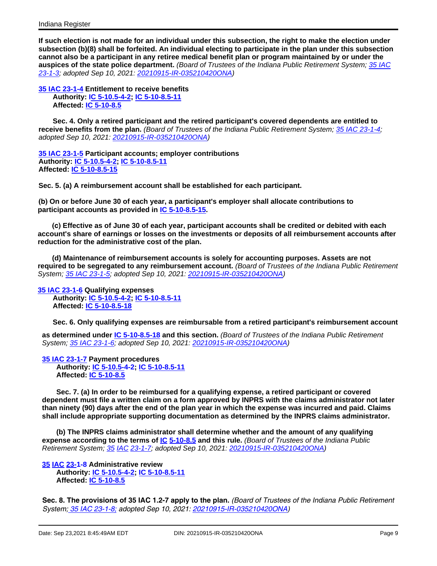If such election is not made for an individual under this subsection, the right to make the election under **subsection (b)(8) shall be forfeited. An individual electing to participate in the plan under this subsection** cannot also be a participant in any retiree medical benefit plan or program maintained by or under the **auspices of the state police department.** (Board of Trustees of the Indiana Public Retirement System; 35 [IAC](http://www.in.gov/legislative/iac/iac_title?iact=35&iaca=23) [23-1-3;](http://www.in.gov/legislative/iac/iac_title?iact=35&iaca=23) adopted Sep 10, 2021: [20210915-IR-035210420ONA\)](http://www.in.gov/legislative/iac/irdin.pdf?din=20210915-IR-035210420ONA)

**35 IAC [23-1-4](http://www.in.gov/legislative/iac/iac_title?iact=35&iaca=23) Entitlement to receive benefits Authority: IC [5-10.5-4-2;](http://www.in.gov/legislative/iac/ic?t=5&a=10.5&c=4&s=2) IC [5-10-8.5-11](http://www.in.gov/legislative/iac/ic?t=5&a=10&c=8.5&s=11) Affected: IC [5-10-8.5](http://www.in.gov/legislative/iac/ic?t=5&a=10&c=8.5&s=15)**

**Sec. 4. Only a retired participant and the retired participant's covered dependents are entitled to receive benefits from the plan.** (Board of Trustees of the Indiana Public Retirement System; 35 IAC [23-1-4;](http://www.in.gov/legislative/iac/iac_title?iact=35&iaca=23) adopted Sep 10, 2021: [20210915-IR-035210420ONA\)](http://www.in.gov/legislative/iac/irdin.pdf?din=20210915-IR-035210420ONA)

**35 IAC [23-1-5](http://www.in.gov/legislative/iac/iac_title?iact=35&iaca=23) Participant accounts; employer contributions Authority: IC [5-10.5-4-2;](http://www.in.gov/legislative/iac/ic?t=5&a=10.5&c=4&s=2) IC [5-10-8.5-11](http://www.in.gov/legislative/iac/ic?t=5&a=10&c=8.5&s=11) Affected: IC [5-10-8.5-15](http://www.in.gov/legislative/iac/ic?t=5&a=10&c=8.5&s=15)**

**Sec. 5. (a) A reimbursement account shall be established for each participant.**

**(b) On or before June 30 of each year, a participant's employer shall allocate contributions to participant accounts as provided in IC [5-10-8.5-15.](http://www.in.gov/legislative/iac/ic?t=5&a=10&c=8.5&s=15)**

(c) Effective as of June 30 of each year, participant accounts shall be credited or debited with each **account's share of earnings or losses on the investments or deposits of all reimbursement accounts after reduction for the administrative cost of the plan.**

**(d) Maintenance of reimbursement accounts is solely for accounting purposes. Assets are not required to be segregated to any reimbursement account.** (Board of Trustees of the Indiana Public Retirement System; 35 IAC [23-1-5;](http://www.in.gov/legislative/iac/iac_title?iact=35&iaca=23) adopted Sep 10, 2021: [20210915-IR-035210420ONA\)](http://www.in.gov/legislative/iac/irdin.pdf?din=20210915-IR-035210420ONA)

**35 IAC [23-1-6](http://www.in.gov/legislative/iac/iac_title?iact=35&iaca=23) Qualifying expenses**

**Authority: IC [5-10.5-4-2;](http://www.in.gov/legislative/iac/ic?t=5&a=10.5&c=4&s=2) IC [5-10-8.5-11](http://www.in.gov/legislative/iac/ic?t=5&a=10&c=8.5&s=11) Affected: IC [5-10-8.5-18](http://www.in.gov/legislative/iac/ic?t=5&a=10&c=8.5&s=18)**

**Sec. 6. Only qualifying expenses are reimbursable from a retired participant's reimbursement account**

**as determined under IC [5-10-8.5-18](http://www.in.gov/legislative/iac/ic?t=5&a=10&c=8.5&s=18) and this section.** (Board of Trustees of the Indiana Public Retirement System; 35 IAC [23-1-6;](http://www.in.gov/legislative/iac/iac_title?iact=35&iaca=23) adopted Sep 10, 2021: [20210915-IR-035210420ONA\)](http://www.in.gov/legislative/iac/irdin.pdf?din=20210915-IR-035210420ONA)

**35 IAC [23-1-7](http://www.in.gov/legislative/iac/iac_title?iact=35&iaca=23) Payment procedures Authority: IC [5-10.5-4-2;](http://www.in.gov/legislative/iac/ic?t=5&a=10.5&c=4&s=2) IC [5-10-8.5-11](http://www.in.gov/legislative/iac/ic?t=5&a=10&c=8.5&s=11) Affected: IC [5-10-8.5](http://www.in.gov/legislative/iac/ic?t=5&a=10&c=8.5)**

**Sec. 7. (a) In order to be reimbursed for a qualifying expense, a retired participant or covered dependent must file a written claim on a form approved by INPRS with the claims administrator not later than ninety (90) days after the end of the plan year in which the expense was incurred and paid. Claims shall include appropriate supporting documentation as determined by the INPRS claims administrator.**

**(b) The INPRS claims administrator shall determine whether and the amount of any qualifying expense according to the terms of [IC 5-10-8.5](http://www.in.gov/legislative/iac/ic?t=5&a=10&c=8.5) and this rule.** (Board of Trustees of the Indiana Public Retirement System; [35 IAC 23-1-7;](http://www.in.gov/legislative/iac/iac_title?iact=35&iaca=23) adopted Sep 10, 2021: [20210915-IR-035210420ONA\)](http://www.in.gov/legislative/iac/irdin.pdf?din=20210915-IR-035210420ONA)

**[35 IAC 23-1-8](http://www.in.gov/legislative/iac/iac_title?iact=35&iaca=23) Administrative review Authority: IC [5-10.5-4-2;](http://www.in.gov/legislative/iac/ic?t=5&a=10.5&c=4&s=2) IC [5-10-8.5-11](http://www.in.gov/legislative/iac/ic?t=5&a=10&c=8.5&s=11) Affected: IC [5-10-8.5](http://www.in.gov/legislative/iac/ic?t=5&a=10&c=8.5)**

**Sec. 8. The provisions of 35 IAC 1.2-7 apply to the plan.** *(Board of Trustees of the Indiana Public Retirement System; [35 IAC 23-1-8;](http://www.in.gov/legislative/iac/iac_title?iact=35&iaca=23) adopted Sep 10, 2021[: 20210915-IR-035210420ONA\)](http://www.in.gov/legislative/iac/irdin.pdf?din=20210915-IR-035210420ONA)*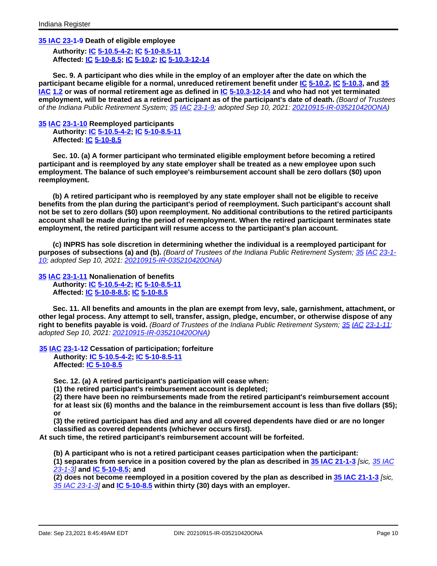**35 IAC [23-1-9](http://www.in.gov/legislative/iac/iac_title?iact=35&iaca=23) Death of eligible employee**

**Authority: [IC 5-10.5-4-2;](http://www.in.gov/legislative/iac/ic?t=5&a=10.5&c=4&s=2) IC [5-10-8.5-11](http://www.in.gov/legislative/iac/ic?t=5&a=10&c=8.5&s=11) Affected: [IC 5-10-8.5;](http://www.in.gov/legislative/iac/ic?t=5&a=10&c=8.5) [IC 5-10.2;](http://www.in.gov/legislative/iac/ic?t=5&a=10.2) [IC 5-10.3-12-14](http://www.in.gov/legislative/iac/ic?t=5&a=10.3&c=12&s=14)**

**Sec. 9. A participant who dies while in the employ of an employer after the date on which the participant became eligible for a normal, unreduced retirement benefit under [IC 5-10.2,](http://www.in.gov/legislative/iac/ic?t=5&a=10.2) [IC 5-10.3,](http://www.in.gov/legislative/iac/ic?t=5&a=10.3) and [35](http://www.in.gov/legislative/iac/iac_title?iact=35&iaca=1.2) [IAC](http://www.in.gov/legislative/iac/iac_title?iact=35&iaca=1.2) 1.2 or was of normal retirement age as defined in [IC 5-10.3-12-14](http://www.in.gov/legislative/iac/ic?t=5&a=10.3&c=12&s=14) and who had not yet terminated employment, will be treated as a retired participant as of the participant's date of death.** (Board of Trustees of the Indiana Public Retirement System; [35 IAC 23-1-9;](http://www.in.gov/legislative/iac/iac_title?iact=35&iaca=23) adopted Sep 10, 2021: [20210915-IR-035210420ONA\)](http://www.in.gov/legislative/iac/irdin.pdf?din=20210915-IR-035210420ONA)

**[35 IAC 23-1-10](http://www.in.gov/legislative/iac/iac_title?iact=35&iaca=23) Reemployed participants Authority: [IC 5-10.5-4-2;](http://www.in.gov/legislative/iac/ic?t=5&a=10.5&c=4&s=2) IC [5-10-8.5-11](http://www.in.gov/legislative/iac/ic?t=5&a=10&c=8.5&s=11) Affected: [IC 5-10-8.5](http://www.in.gov/legislative/iac/ic?t=5&a=10&c=8.5)**

**Sec. 10. (a) A former participant who terminated eligible employment before becoming a retired participant and is reemployed by any state employer shall be treated as a new employee upon such employment. The balance of such employee's reimbursement account shall be zero dollars (\$0) upon reemployment.**

**(b) A retired participant who is reemployed by any state employer shall not be eligible to receive benefits from the plan during the participant's period of reemployment. Such participant's account shall not be set to zero dollars (\$0) upon reemployment. No additional contributions to the retired participants account shall be made during the period of reemployment. When the retired participant terminates state employment, the retired participant will resume access to the participant's plan account.**

**(c) INPRS has sole discretion in determining whether the individual is a reemployed participant for purposes of subsections (a) and (b).** (Board of Trustees of the Indiana Public Retirement System; [35 IAC 23-1-](http://www.in.gov/legislative/iac/iac_title?iact=35&iaca=23) [10;](http://www.in.gov/legislative/iac/iac_title?iact=35&iaca=23) adopted Sep 10, 2021: [20210915-IR-035210420ONA\)](http://www.in.gov/legislative/iac/irdin.pdf?din=20210915-IR-035210420ONA)

**[35 IAC 23-1-11](http://www.in.gov/legislative/iac/iac_title?iact=35&iaca=23) Nonalienation of benefits Authority: [IC 5-10.5-4-2;](http://www.in.gov/legislative/iac/ic?t=5&a=10.5&c=4&s=2) IC [5-10-8.5-11](http://www.in.gov/legislative/iac/ic?t=5&a=10&c=8.5&s=11) Affected: [IC 5-10-8-8.5;](http://www.in.gov/legislative/iac/ic?t=5&a=10&c=8&s=8.5) IC [5-10-8.5](http://www.in.gov/legislative/iac/ic?t=5&a=10&c=8.5)**

**Sec. 11. All benefits and amounts in the plan are exempt from levy, sale, garnishment, attachment, or other legal process. Any attempt to sell, transfer, assign, pledge, encumber, or otherwise dispose of any right to benefits payable is void.** (Board of Trustees of the Indiana Public Retirement System; [35 IAC 23-1-11;](http://www.in.gov/legislative/iac/iac_title?iact=35&iaca=23) adopted Sep 10, 2021: [20210915-IR-035210420ONA\)](http://www.in.gov/legislative/iac/irdin.pdf?din=20210915-IR-035210420ONA)

**[35 IAC 23-1-12](http://www.in.gov/legislative/iac/iac_title?iact=35&iaca=23) Cessation of participation; forfeiture**

**Authority: IC [5-10.5-4-2;](http://www.in.gov/legislative/iac/ic?t=5&a=10.5&c=4&s=2) IC [5-10-8.5-11](http://www.in.gov/legislative/iac/ic?t=5&a=10.5&c=4&s=2) Affected: IC [5-10-8.5](http://www.in.gov/legislative/iac/ic?t=5&a=10&c=8.5)**

**Sec. 12. (a) A retired participant's participation will cease when:**

**(1) the retired participant's reimbursement account is depleted;**

**(2) there have been no reimbursements made from the retired participant's reimbursement account for at least six (6) months and the balance in the reimbursement account is less than five dollars (\$5); or**

**(3) the retired participant has died and any and all covered dependents have died or are no longer classified as covered dependents (whichever occurs first).**

**At such time, the retired participant's reimbursement account will be forfeited.**

**(b) A participant who is not a retired participant ceases participation when the participant:**

**(1) separates from service in a position covered by the plan as described in 35 IAC [21-1-3](http://www.in.gov/legislative/iac/iac_title?iact=35&iaca=21)** [sic, 35 [IAC](http://www.in.gov/legislative/iac/iac_title?iact=35&iaca=23) [23-1-3\]](http://www.in.gov/legislative/iac/iac_title?iact=35&iaca=23) **and IC [5-10-8.5;](http://www.in.gov/legislative/iac/ic?t=5&a=10&c=8.5) and**

(2) does not become reemployed in a position covered by the plan as described in 35 IAC [21-1-3](http://www.in.gov/legislative/iac/iac_title?iact=35&iaca=21) [sic. 35 IAC [23-1-3\]](http://www.in.gov/legislative/iac/iac_title?iact=35&iaca=23) **and IC [5-10-8.5](http://www.in.gov/legislative/iac/ic?t=5&a=10&c=8.5) within thirty (30) days with an employer.**